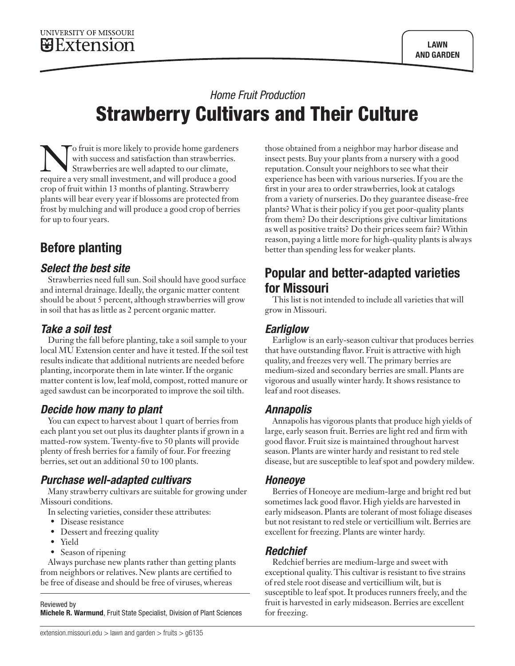# *Home Fruit Production*  Strawberry Cultivars and Their Culture

To fruit is more likely to provide home gardeners with success and satisfaction than strawberries. Strawberries are well adapted to our climate, require a very small investment, and will produce a good crop of fruit within 13 months of planting. Strawberry plants will bear every year if blossoms are protected from frost by mulching and will produce a good crop of berries for up to four years.

# Before planting

#### *Select the best site*

Strawberries need full sun. Soil should have good surface and internal drainage. Ideally, the organic matter content should be about 5 percent, although strawberries will grow in soil that has as little as 2 percent organic matter.

## *Take a soil test*

During the fall before planting, take a soil sample to your local MU Extension center and have it tested. If the soil test results indicate that additional nutrients are needed before planting, incorporate them in late winter. If the organic matter content is low, leaf mold, compost, rotted manure or aged sawdust can be incorporated to improve the soil tilth.

## *Decide how many to plant*

You can expect to harvest about 1 quart of berries from each plant you set out plus its daughter plants if grown in a matted-row system. Twenty-five to 50 plants will provide plenty of fresh berries for a family of four. For freezing berries, set out an additional 50 to 100 plants.

## *Purchase well-adapted cultivars*

Many strawberry cultivars are suitable for growing under Missouri conditions.

In selecting varieties, consider these attributes:

- Disease resistance
- Dessert and freezing quality
- Yield
- Season of ripening

Always purchase new plants rather than getting plants from neighbors or relatives. New plants are certified to be free of disease and should be free of viruses, whereas

Reviewed by

Michele R. Warmund, Fruit State Specialist, Division of Plant Sciences

those obtained from a neighbor may harbor disease and insect pests. Buy your plants from a nursery with a good reputation. Consult your neighbors to see what their experience has been with various nurseries. If you are the first in your area to order strawberries, look at catalogs from a variety of nurseries. Do they guarantee disease-free plants? What is their policy if you get poor-quality plants from them? Do their descriptions give cultivar limitations as well as positive traits? Do their prices seem fair? Within reason, paying a little more for high-quality plants is always better than spending less for weaker plants.

## Popular and better-adapted varieties for Missouri

This list is not intended to include all varieties that will grow in Missouri.

## *Earliglow*

Earliglow is an early-season cultivar that produces berries that have outstanding flavor. Fruit is attractive with high quality, and freezes very well. The primary berries are medium-sized and secondary berries are small. Plants are vigorous and usually winter hardy. It shows resistance to leaf and root diseases.

#### *Annapolis*

Annapolis has vigorous plants that produce high yields of large, early season fruit. Berries are light red and firm with good flavor. Fruit size is maintained throughout harvest season. Plants are winter hardy and resistant to red stele disease, but are susceptible to leaf spot and powdery mildew.

#### *Honeoye*

Berries of Honeoye are medium-large and bright red but sometimes lack good flavor. High yields are harvested in early midseason. Plants are tolerant of most foliage diseases but not resistant to red stele or verticillium wilt. Berries are excellent for freezing. Plants are winter hardy.

## *Redchief*

Redchief berries are medium-large and sweet with exceptional quality. This cultivar is resistant to five strains of red stele root disease and verticillium wilt, but is susceptible to leaf spot. It produces runners freely, and the fruit is harvested in early midseason. Berries are excellent for freezing.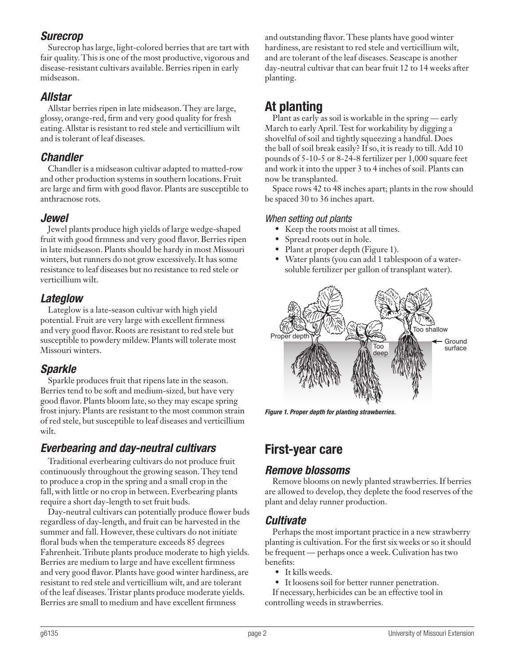#### *Surecrop*

Surecrop has large, light-colored berries that are tart with fair quality. This is one of the most productive, vigorous and disease-resistant cultivars available. Berries ripen in early midseason.

#### *Allstar*

Allstar berries ripen in late midseason. They are large, glossy, orange-red, firm and very good quality for fresh eating. Allstar is resistant to red stele and verticillium wilt and is tolerant of leaf diseases.

#### *Chandler*

Chandler is a midseason cultivar adapted to matted-row and other production systems in southern locations. Fruit are large and firm with good flavor. Plants are susceptible to anthracnose rots.

#### *Jewel*

Jewel plants produce high yields of large wedge-shaped fruit with good firmness and very good flavor. Berries ripen in late midseason. Plants should be hardy in most Missouri winters, but runners do not grow excessively. It has some resistance to leaf diseases but no resistance to red stele or verticillium wilt.

#### *Lateglow*

Lateglow is a late-season cultivar with high yield potential. Fruit are very large with excellent firmness and very good flavor. Roots are resistant to red stele but susceptible to powdery mildew. Plants will tolerate most Missouri winters.

#### *Sparkle*

Sparkle produces fruit that ripens late in the season. Berries tend to be soft and medium-sized, but have very good flavor. Plants bloom late, so they may escape spring frost injury. Plants are resistant to the most common strain of red stele, but susceptible to leaf diseases and verticillium wilt.

## *Everbearing and day-neutral cultivars*

Traditional everbearing cultivars do not produce fruit continuously throughout the growing season. They tend to produce a crop in the spring and a small crop in the fall, with little or no crop in between. Everbearing plants require a short day-length to set fruit buds.

Day-neutral cultivars can potentially produce flower buds regardless of day-length, and fruit can be harvested in the summer and fall. However, these cultivars do not initiate floral buds when the temperature exceeds 85 degrees Fahrenheit. Tribute plants produce moderate to high yields. Berries are medium to large and have excellent firmness and very good flavor. Plants have good winter hardiness, are resistant to red stele and verticillium wilt, and are tolerant of the leaf diseases. Tristar plants produce moderate yields. Berries are small to medium and have excellent firmness

and outstanding flavor. These plants have good winter hardiness, are resistant to red stele and verticillium wilt, and are tolerant of the leaf diseases. Seascape is another day-neutral cultivar that can bear fruit 12 to 14 weeks after planting.

# At planting

Plant as early as soil is workable in the spring — early March to early April. Test for workability by digging a shovelful of soil and tightly squeezing a handful. Does the ball of soil break easily? If so, it is ready to till. Add 10 pounds of 5-10-5 or 8-24-8 fertilizer per 1,000 square feet and work it into the upper 3 to 4 inches of soil. Plants can now be transplanted.

Space rows 42 to 48 inches apart; plants in the row should be spaced 30 to 36 inches apart.

#### *When setting out plants*

- Keep the roots moist at all times.
- Spread roots out in hole.
- Plant at proper depth (Figure 1).
- Water plants (you can add 1 tablespoon of a watersoluble fertilizer per gallon of transplant water).



*Figure 1. Proper depth for planting strawberries.*

## First-year care

#### *Remove blossoms*

Remove blooms on newly planted strawberries. If berries are allowed to develop, they deplete the food reserves of the plant and delay runner production.

#### *Cultivate*

Perhaps the most important practice in a new strawberry planting is cultivation. For the first six weeks or so it should be frequent — perhaps once a week. Culivation has two benefits:

- It kills weeds.
- It loosens soil for better runner penetration.
- If necessary, herbicides can be an effective tool in controlling weeds in strawberries.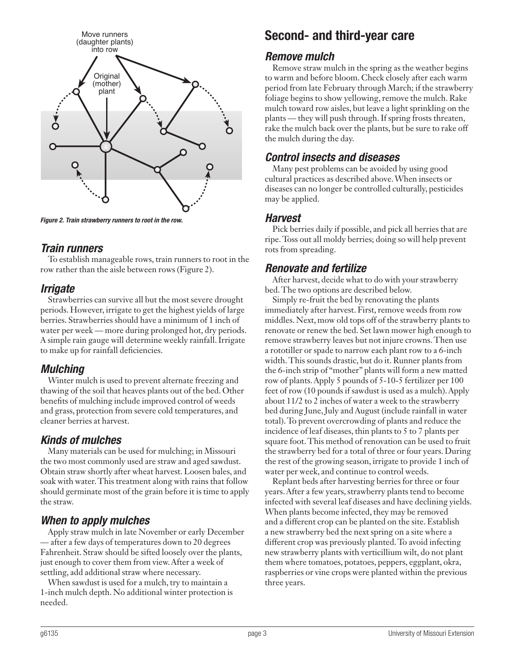

*Figure 2. Train strawberry runners to root in the row.*

#### *Train runners*

To establish manageable rows, train runners to root in the row rather than the aisle between rows (Figure 2).

#### *Irrigate*

Strawberries can survive all but the most severe drought periods. However, irrigate to get the highest yields of large berries. Strawberries should have a minimum of 1 inch of water per week — more during prolonged hot, dry periods. A simple rain gauge will determine weekly rainfall. Irrigate to make up for rainfall deficiencies.

#### *Mulching*

Winter mulch is used to prevent alternate freezing and thawing of the soil that heaves plants out of the bed. Other benefits of mulching include improved control of weeds and grass, protection from severe cold temperatures, and cleaner berries at harvest.

## *Kinds of mulches*

Many materials can be used for mulching; in Missouri the two most commonly used are straw and aged sawdust. Obtain straw shortly after wheat harvest. Loosen bales, and soak with water. This treatment along with rains that follow should germinate most of the grain before it is time to apply the straw.

## *When to apply mulches*

Apply straw mulch in late November or early December — after a few days of temperatures down to 20 degrees Fahrenheit. Straw should be sifted loosely over the plants, just enough to cover them from view. After a week of settling, add additional straw where necessary.

When sawdust is used for a mulch, try to maintain a 1-inch mulch depth. No additional winter protection is needed.

## Second- and third-year care

#### *Remove mulch*

Remove straw mulch in the spring as the weather begins to warm and before bloom. Check closely after each warm period from late February through March; if the strawberry foliage begins to show yellowing, remove the mulch. Rake mulch toward row aisles, but leave a light sprinkling on the plants — they will push through. If spring frosts threaten, rake the mulch back over the plants, but be sure to rake off the mulch during the day.

#### *Control insects and diseases*

Many pest problems can be avoided by using good cultural practices as described above. When insects or diseases can no longer be controlled culturally, pesticides may be applied.

#### *Harvest*

Pick berries daily if possible, and pick all berries that are ripe. Toss out all moldy berries; doing so will help prevent rots from spreading.

#### *Renovate and fertilize*

After harvest, decide what to do with your strawberry bed. The two options are described below.

Simply re-fruit the bed by renovating the plants immediately after harvest. First, remove weeds from row middles. Next, mow old tops off of the strawberry plants to renovate or renew the bed. Set lawn mower high enough to remove strawberry leaves but not injure crowns. Then use a rototiller or spade to narrow each plant row to a 6-inch width. This sounds drastic, but do it. Runner plants from the 6-inch strip of "mother" plants will form a new matted row of plants. Apply 5 pounds of 5-10-5 fertilizer per 100 feet of row (10 pounds if sawdust is used as a mulch). Apply about 11/2 to 2 inches of water a week to the strawberry bed during June, July and August (include rainfall in water total). To prevent overcrowding of plants and reduce the incidence of leaf diseases, thin plants to 5 to 7 plants per square foot. This method of renovation can be used to fruit the strawberry bed for a total of three or four years. During the rest of the growing season, irrigate to provide 1 inch of water per week, and continue to control weeds.

Replant beds after harvesting berries for three or four years. After a few years, strawberry plants tend to become infected with several leaf diseases and have declining yields. When plants become infected, they may be removed and a different crop can be planted on the site. Establish a new strawberry bed the next spring on a site where a different crop was previously planted. To avoid infecting new strawberry plants with verticillium wilt, do not plant them where tomatoes, potatoes, peppers, eggplant, okra, raspberries or vine crops were planted within the previous three years.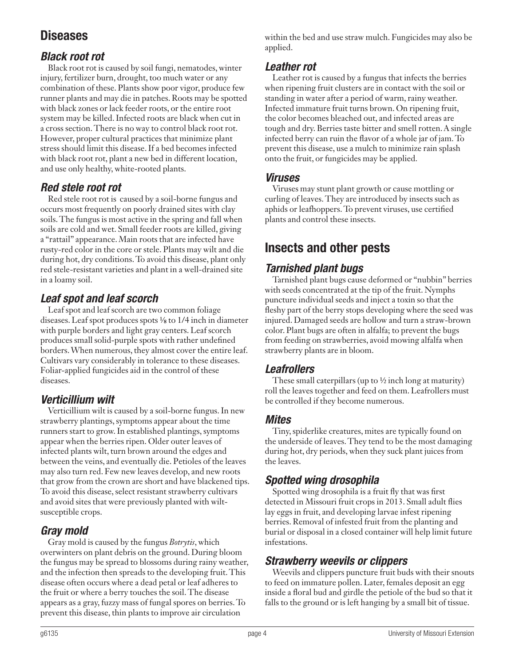# Diseases

## *Black root rot*

Black root rot is caused by soil fungi, nematodes, winter injury, fertilizer burn, drought, too much water or any combination of these. Plants show poor vigor, produce few runner plants and may die in patches. Roots may be spotted with black zones or lack feeder roots, or the entire root system may be killed. Infected roots are black when cut in a cross section. There is no way to control black root rot. However, proper cultural practices that minimize plant stress should limit this disease. If a bed becomes infected with black root rot, plant a new bed in different location, and use only healthy, white-rooted plants.

## *Red stele root rot*

Red stele root rot is caused by a soil-borne fungus and occurs most frequently on poorly drained sites with clay soils. The fungus is most active in the spring and fall when soils are cold and wet. Small feeder roots are killed, giving a "rattail" appearance. Main roots that are infected have rusty-red color in the core or stele. Plants may wilt and die during hot, dry conditions. To avoid this disease, plant only red stele-resistant varieties and plant in a well-drained site in a loamy soil.

## *Leaf spot and leaf scorch*

Leaf spot and leaf scorch are two common foliage diseases. Leaf spot produces spots  $\frac{1}{8}$  to 1/4 inch in diameter with purple borders and light gray centers. Leaf scorch produces small solid-purple spots with rather undefined borders. When numerous, they almost cover the entire leaf. Cultivars vary considerably in tolerance to these diseases. Foliar-applied fungicides aid in the control of these diseases.

## *Verticillium wilt*

Verticillium wilt is caused by a soil-borne fungus. In new strawberry plantings, symptoms appear about the time runners start to grow. In established plantings, symptoms appear when the berries ripen. Older outer leaves of infected plants wilt, turn brown around the edges and between the veins, and eventually die. Petioles of the leaves may also turn red. Few new leaves develop, and new roots that grow from the crown are short and have blackened tips. To avoid this disease, select resistant strawberry cultivars and avoid sites that were previously planted with wiltsusceptible crops.

## *Gray mold*

Gray mold is caused by the fungus *Botrytis*, which overwinters on plant debris on the ground. During bloom the fungus may be spread to blossoms during rainy weather, and the infection then spreads to the developing fruit. This disease often occurs where a dead petal or leaf adheres to the fruit or where a berry touches the soil. The disease appears as a gray, fuzzy mass of fungal spores on berries. To prevent this disease, thin plants to improve air circulation

within the bed and use straw mulch. Fungicides may also be applied.

## *Leather rot*

Leather rot is caused by a fungus that infects the berries when ripening fruit clusters are in contact with the soil or standing in water after a period of warm, rainy weather. Infected immature fruit turns brown. On ripening fruit, the color becomes bleached out, and infected areas are tough and dry. Berries taste bitter and smell rotten. A single infected berry can ruin the flavor of a whole jar of jam. To prevent this disease, use a mulch to minimize rain splash onto the fruit, or fungicides may be applied.

#### *Viruses*

Viruses may stunt plant growth or cause mottling or curling of leaves. They are introduced by insects such as aphids or leafhoppers. To prevent viruses, use certified plants and control these insects.

# Insects and other pests

## *Tarnished plant bugs*

Tarnished plant bugs cause deformed or "nubbin" berries with seeds concentrated at the tip of the fruit. Nymphs puncture individual seeds and inject a toxin so that the fleshy part of the berry stops developing where the seed was injured. Damaged seeds are hollow and turn a straw-brown color. Plant bugs are often in alfalfa; to prevent the bugs from feeding on strawberries, avoid mowing alfalfa when strawberry plants are in bloom.

## *Leafrollers*

These small caterpillars (up to  $\frac{1}{2}$  inch long at maturity) roll the leaves together and feed on them. Leafrollers must be controlled if they become numerous.

#### *Mites*

Tiny, spiderlike creatures, mites are typically found on the underside of leaves. They tend to be the most damaging during hot, dry periods, when they suck plant juices from the leaves.

## *Spotted wing drosophila*

Spotted wing drosophila is a fruit fly that was first detected in Missouri fruit crops in 2013. Small adult flies lay eggs in fruit, and developing larvae infest ripening berries. Removal of infested fruit from the planting and burial or disposal in a closed container will help limit future infestations.

## *Strawberry weevils or clippers*

Weevils and clippers puncture fruit buds with their snouts to feed on immature pollen. Later, females deposit an egg inside a floral bud and girdle the petiole of the bud so that it falls to the ground or is left hanging by a small bit of tissue.